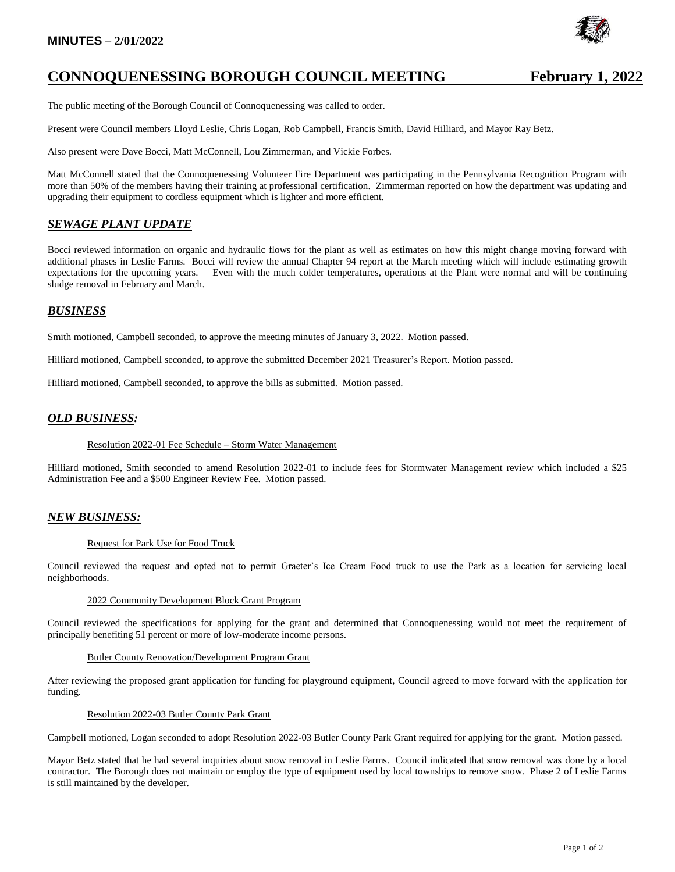## **MINUTES – 2/01/2022**



# **CONNOQUENESSING BOROUGH COUNCIL MEETING February 1, 2022**

The public meeting of the Borough Council of Connoquenessing was called to order.

Present were Council members Lloyd Leslie, Chris Logan, Rob Campbell, Francis Smith, David Hilliard, and Mayor Ray Betz.

Also present were Dave Bocci, Matt McConnell, Lou Zimmerman, and Vickie Forbes.

Matt McConnell stated that the Connoquenessing Volunteer Fire Department was participating in the Pennsylvania Recognition Program with more than 50% of the members having their training at professional certification. Zimmerman reported on how the department was updating and upgrading their equipment to cordless equipment which is lighter and more efficient.

## *SEWAGE PLANT UPDATE*

Bocci reviewed information on organic and hydraulic flows for the plant as well as estimates on how this might change moving forward with additional phases in Leslie Farms. Bocci will review the annual Chapter 94 report at the March meeting which will include estimating growth expectations for the upcoming years. Even with the much colder temperatures, operations at the Plant were normal and will be continuing sludge removal in February and March.

### *BUSINESS*

Smith motioned, Campbell seconded, to approve the meeting minutes of January 3, 2022. Motion passed.

Hilliard motioned, Campbell seconded, to approve the submitted December 2021 Treasurer's Report. Motion passed.

Hilliard motioned, Campbell seconded, to approve the bills as submitted. Motion passed.

### *OLD BUSINESS:*

#### Resolution 2022-01 Fee Schedule – Storm Water Management

Hilliard motioned, Smith seconded to amend Resolution 2022-01 to include fees for Stormwater Management review which included a \$25 Administration Fee and a \$500 Engineer Review Fee. Motion passed.

### *NEW BUSINESS:*

#### Request for Park Use for Food Truck

Council reviewed the request and opted not to permit Graeter's Ice Cream Food truck to use the Park as a location for servicing local neighborhoods.

#### 2022 Community Development Block Grant Program

Council reviewed the specifications for applying for the grant and determined that Connoquenessing would not meet the requirement of principally benefiting 51 percent or more of low-moderate income persons.

#### Butler County Renovation/Development Program Grant

After reviewing the proposed grant application for funding for playground equipment, Council agreed to move forward with the application for funding.

#### Resolution 2022-03 Butler County Park Grant

Campbell motioned, Logan seconded to adopt Resolution 2022-03 Butler County Park Grant required for applying for the grant. Motion passed.

Mayor Betz stated that he had several inquiries about snow removal in Leslie Farms. Council indicated that snow removal was done by a local contractor. The Borough does not maintain or employ the type of equipment used by local townships to remove snow. Phase 2 of Leslie Farms is still maintained by the developer.